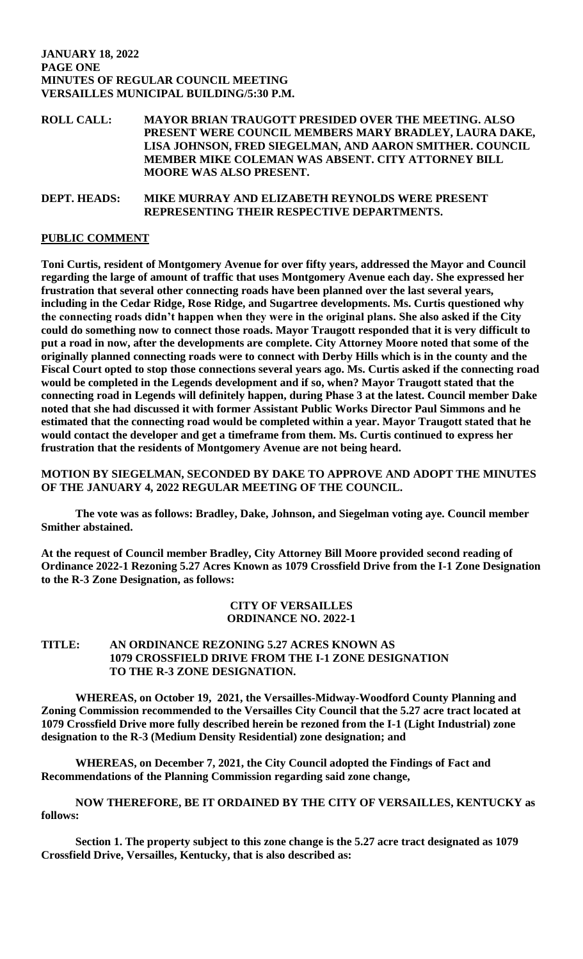### **JANUARY 18, 2022 PAGE ONE MINUTES OF REGULAR COUNCIL MEETING VERSAILLES MUNICIPAL BUILDING/5:30 P.M.**

**ROLL CALL: MAYOR BRIAN TRAUGOTT PRESIDED OVER THE MEETING. ALSO PRESENT WERE COUNCIL MEMBERS MARY BRADLEY, LAURA DAKE, LISA JOHNSON, FRED SIEGELMAN, AND AARON SMITHER. COUNCIL MEMBER MIKE COLEMAN WAS ABSENT. CITY ATTORNEY BILL MOORE WAS ALSO PRESENT.**

## **DEPT. HEADS: MIKE MURRAY AND ELIZABETH REYNOLDS WERE PRESENT REPRESENTING THEIR RESPECTIVE DEPARTMENTS.**

# **PUBLIC COMMENT**

**Toni Curtis, resident of Montgomery Avenue for over fifty years, addressed the Mayor and Council regarding the large of amount of traffic that uses Montgomery Avenue each day. She expressed her frustration that several other connecting roads have been planned over the last several years, including in the Cedar Ridge, Rose Ridge, and Sugartree developments. Ms. Curtis questioned why the connecting roads didn't happen when they were in the original plans. She also asked if the City could do something now to connect those roads. Mayor Traugott responded that it is very difficult to put a road in now, after the developments are complete. City Attorney Moore noted that some of the originally planned connecting roads were to connect with Derby Hills which is in the county and the Fiscal Court opted to stop those connections several years ago. Ms. Curtis asked if the connecting road would be completed in the Legends development and if so, when? Mayor Traugott stated that the connecting road in Legends will definitely happen, during Phase 3 at the latest. Council member Dake noted that she had discussed it with former Assistant Public Works Director Paul Simmons and he estimated that the connecting road would be completed within a year. Mayor Traugott stated that he would contact the developer and get a timeframe from them. Ms. Curtis continued to express her frustration that the residents of Montgomery Avenue are not being heard.** 

**MOTION BY SIEGELMAN, SECONDED BY DAKE TO APPROVE AND ADOPT THE MINUTES OF THE JANUARY 4, 2022 REGULAR MEETING OF THE COUNCIL.**

**The vote was as follows: Bradley, Dake, Johnson, and Siegelman voting aye. Council member Smither abstained.** 

**At the request of Council member Bradley, City Attorney Bill Moore provided second reading of Ordinance 2022-1 Rezoning 5.27 Acres Known as 1079 Crossfield Drive from the I-1 Zone Designation to the R-3 Zone Designation, as follows:**

## **CITY OF VERSAILLES ORDINANCE NO. 2022-1**

# **TITLE: AN ORDINANCE REZONING 5.27 ACRES KNOWN AS 1079 CROSSFIELD DRIVE FROM THE I-1 ZONE DESIGNATION TO THE R-3 ZONE DESIGNATION.**

**WHEREAS, on October 19, 2021, the Versailles-Midway-Woodford County Planning and Zoning Commission recommended to the Versailles City Council that the 5.27 acre tract located at 1079 Crossfield Drive more fully described herein be rezoned from the I-1 (Light Industrial) zone designation to the R-3 (Medium Density Residential) zone designation; and**

**WHEREAS, on December 7, 2021, the City Council adopted the Findings of Fact and Recommendations of the Planning Commission regarding said zone change,**

**NOW THEREFORE, BE IT ORDAINED BY THE CITY OF VERSAILLES, KENTUCKY as follows:**

**Section 1. The property subject to this zone change is the 5.27 acre tract designated as 1079 Crossfield Drive, Versailles, Kentucky, that is also described as:**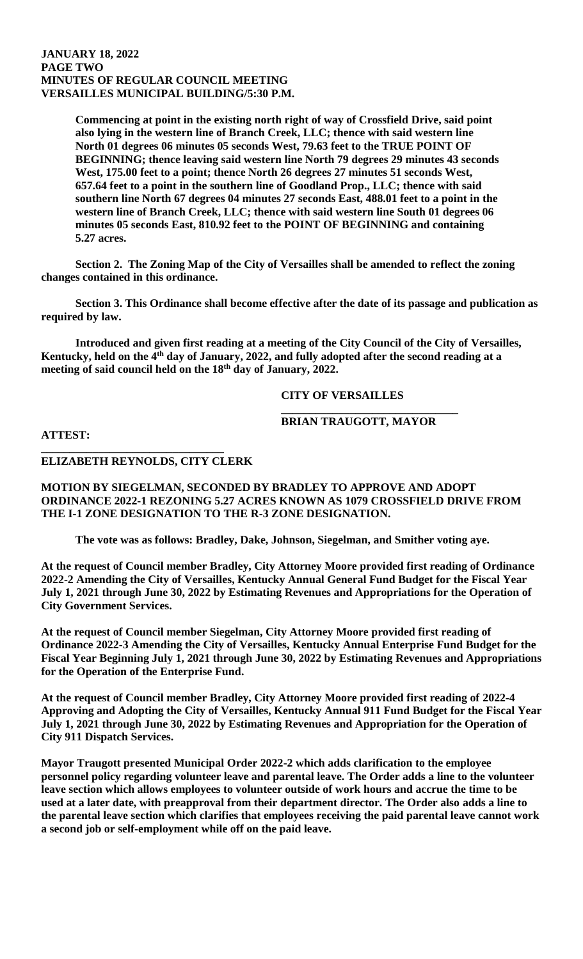#### **JANUARY 18, 2022 PAGE TWO MINUTES OF REGULAR COUNCIL MEETING VERSAILLES MUNICIPAL BUILDING/5:30 P.M.**

**Commencing at point in the existing north right of way of Crossfield Drive, said point also lying in the western line of Branch Creek, LLC; thence with said western line North 01 degrees 06 minutes 05 seconds West, 79.63 feet to the TRUE POINT OF BEGINNING; thence leaving said western line North 79 degrees 29 minutes 43 seconds West, 175.00 feet to a point; thence North 26 degrees 27 minutes 51 seconds West, 657.64 feet to a point in the southern line of Goodland Prop., LLC; thence with said southern line North 67 degrees 04 minutes 27 seconds East, 488.01 feet to a point in the western line of Branch Creek, LLC; thence with said western line South 01 degrees 06 minutes 05 seconds East, 810.92 feet to the POINT OF BEGINNING and containing 5.27 acres.**

**Section 2. The Zoning Map of the City of Versailles shall be amended to reflect the zoning changes contained in this ordinance.**

**Section 3. This Ordinance shall become effective after the date of its passage and publication as required by law.**

**Introduced and given first reading at a meeting of the City Council of the City of Versailles, Kentucky, held on the 4th day of January, 2022, and fully adopted after the second reading at a meeting of said council held on the 18th day of January, 2022.**

**CITY OF VERSAILLES**

### **BRIAN TRAUGOTT, MAYOR**

**\_\_\_\_\_\_\_\_\_\_\_\_\_\_\_\_\_\_\_\_\_\_\_\_\_\_\_\_\_\_\_**

**ATTEST:**

#### **\_\_\_\_\_\_\_\_\_\_\_\_\_\_\_\_\_\_\_\_\_\_\_\_\_\_\_\_\_\_\_\_ ELIZABETH REYNOLDS, CITY CLERK**

**MOTION BY SIEGELMAN, SECONDED BY BRADLEY TO APPROVE AND ADOPT ORDINANCE 2022-1 REZONING 5.27 ACRES KNOWN AS 1079 CROSSFIELD DRIVE FROM THE I-1 ZONE DESIGNATION TO THE R-3 ZONE DESIGNATION.** 

**The vote was as follows: Bradley, Dake, Johnson, Siegelman, and Smither voting aye.** 

**At the request of Council member Bradley, City Attorney Moore provided first reading of Ordinance 2022-2 Amending the City of Versailles, Kentucky Annual General Fund Budget for the Fiscal Year July 1, 2021 through June 30, 2022 by Estimating Revenues and Appropriations for the Operation of City Government Services.**

**At the request of Council member Siegelman, City Attorney Moore provided first reading of Ordinance 2022-3 Amending the City of Versailles, Kentucky Annual Enterprise Fund Budget for the Fiscal Year Beginning July 1, 2021 through June 30, 2022 by Estimating Revenues and Appropriations for the Operation of the Enterprise Fund.**

**At the request of Council member Bradley, City Attorney Moore provided first reading of 2022-4 Approving and Adopting the City of Versailles, Kentucky Annual 911 Fund Budget for the Fiscal Year July 1, 2021 through June 30, 2022 by Estimating Revenues and Appropriation for the Operation of City 911 Dispatch Services.**

**Mayor Traugott presented Municipal Order 2022-2 which adds clarification to the employee personnel policy regarding volunteer leave and parental leave. The Order adds a line to the volunteer leave section which allows employees to volunteer outside of work hours and accrue the time to be used at a later date, with preapproval from their department director. The Order also adds a line to the parental leave section which clarifies that employees receiving the paid parental leave cannot work a second job or self-employment while off on the paid leave.**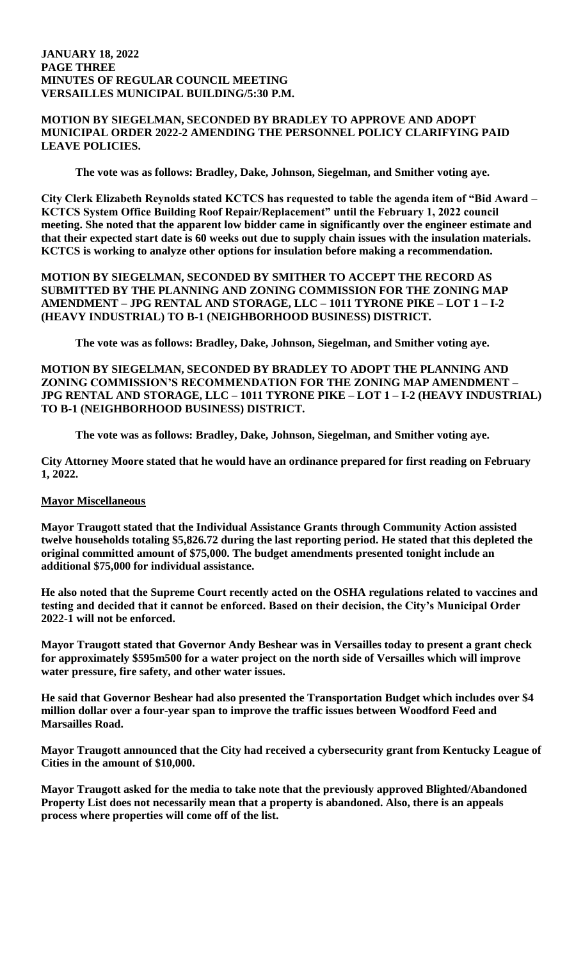### **JANUARY 18, 2022 PAGE THREE MINUTES OF REGULAR COUNCIL MEETING VERSAILLES MUNICIPAL BUILDING/5:30 P.M.**

### **MOTION BY SIEGELMAN, SECONDED BY BRADLEY TO APPROVE AND ADOPT MUNICIPAL ORDER 2022-2 AMENDING THE PERSONNEL POLICY CLARIFYING PAID LEAVE POLICIES.**

**The vote was as follows: Bradley, Dake, Johnson, Siegelman, and Smither voting aye.** 

**City Clerk Elizabeth Reynolds stated KCTCS has requested to table the agenda item of "Bid Award – KCTCS System Office Building Roof Repair/Replacement" until the February 1, 2022 council meeting. She noted that the apparent low bidder came in significantly over the engineer estimate and that their expected start date is 60 weeks out due to supply chain issues with the insulation materials. KCTCS is working to analyze other options for insulation before making a recommendation.** 

**MOTION BY SIEGELMAN, SECONDED BY SMITHER TO ACCEPT THE RECORD AS SUBMITTED BY THE PLANNING AND ZONING COMMISSION FOR THE ZONING MAP AMENDMENT – JPG RENTAL AND STORAGE, LLC – 1011 TYRONE PIKE – LOT 1 – I-2 (HEAVY INDUSTRIAL) TO B-1 (NEIGHBORHOOD BUSINESS) DISTRICT.**

**The vote was as follows: Bradley, Dake, Johnson, Siegelman, and Smither voting aye.** 

**MOTION BY SIEGELMAN, SECONDED BY BRADLEY TO ADOPT THE PLANNING AND ZONING COMMISSION'S RECOMMENDATION FOR THE ZONING MAP AMENDMENT – JPG RENTAL AND STORAGE, LLC – 1011 TYRONE PIKE – LOT 1 – I-2 (HEAVY INDUSTRIAL) TO B-1 (NEIGHBORHOOD BUSINESS) DISTRICT.**

**The vote was as follows: Bradley, Dake, Johnson, Siegelman, and Smither voting aye.** 

**City Attorney Moore stated that he would have an ordinance prepared for first reading on February 1, 2022.** 

## **Mayor Miscellaneous**

**Mayor Traugott stated that the Individual Assistance Grants through Community Action assisted twelve households totaling \$5,826.72 during the last reporting period. He stated that this depleted the original committed amount of \$75,000. The budget amendments presented tonight include an additional \$75,000 for individual assistance.** 

**He also noted that the Supreme Court recently acted on the OSHA regulations related to vaccines and testing and decided that it cannot be enforced. Based on their decision, the City's Municipal Order 2022-1 will not be enforced.** 

**Mayor Traugott stated that Governor Andy Beshear was in Versailles today to present a grant check for approximately \$595m500 for a water project on the north side of Versailles which will improve water pressure, fire safety, and other water issues.** 

**He said that Governor Beshear had also presented the Transportation Budget which includes over \$4 million dollar over a four-year span to improve the traffic issues between Woodford Feed and Marsailles Road.** 

**Mayor Traugott announced that the City had received a cybersecurity grant from Kentucky League of Cities in the amount of \$10,000.**

**Mayor Traugott asked for the media to take note that the previously approved Blighted/Abandoned Property List does not necessarily mean that a property is abandoned. Also, there is an appeals process where properties will come off of the list.**